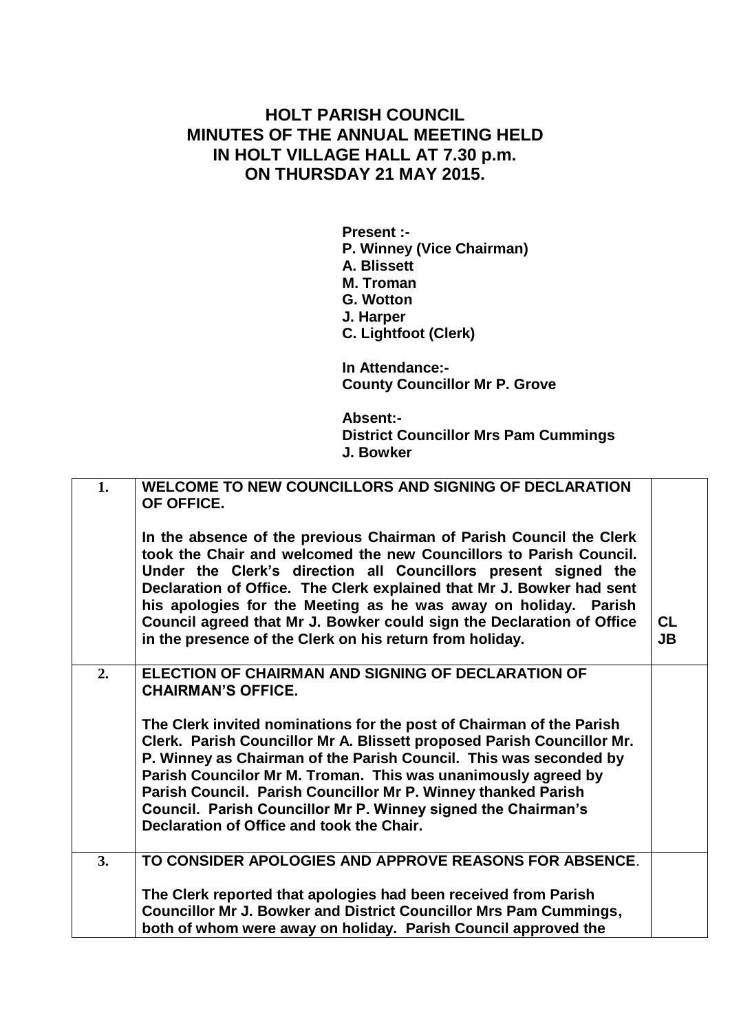## **HOLT PARISH COUNCIL MINUTES OF THE ANNUAL MEETING HELD IN HOLT VILLAGE HALL AT 7.30 p.m. ON THURSDAY 21 MAY 2015.**

**Present :- P. Winney (Vice Chairman) A. Blissett M. Troman G. Wotton J. Harper C. Lightfoot (Clerk)**

**In Attendance:- County Councillor Mr P. Grove**

**Absent:- District Councillor Mrs Pam Cummings J. Bowker**

| 1. | <b>WELCOME TO NEW COUNCILLORS AND SIGNING OF DECLARATION</b><br>OF OFFICE.<br>In the absence of the previous Chairman of Parish Council the Clerk<br>took the Chair and welcomed the new Councillors to Parish Council.<br>Under the Clerk's direction all Councillors present signed the<br>Declaration of Office. The Clerk explained that Mr J. Bowker had sent<br>his apologies for the Meeting as he was away on holiday. Parish<br>Council agreed that Mr J. Bowker could sign the Declaration of Office<br>in the presence of the Clerk on his return from holiday. | <b>CL</b><br><b>JB</b> |
|----|----------------------------------------------------------------------------------------------------------------------------------------------------------------------------------------------------------------------------------------------------------------------------------------------------------------------------------------------------------------------------------------------------------------------------------------------------------------------------------------------------------------------------------------------------------------------------|------------------------|
| 2. | ELECTION OF CHAIRMAN AND SIGNING OF DECLARATION OF<br><b>CHAIRMAN'S OFFICE.</b><br>The Clerk invited nominations for the post of Chairman of the Parish<br>Clerk. Parish Councillor Mr A. Blissett proposed Parish Councillor Mr.<br>P. Winney as Chairman of the Parish Council. This was seconded by<br>Parish Councilor Mr M. Troman. This was unanimously agreed by<br>Parish Council. Parish Councillor Mr P. Winney thanked Parish<br>Council. Parish Councillor Mr P. Winney signed the Chairman's<br>Declaration of Office and took the Chair.                     |                        |
| 3. | TO CONSIDER APOLOGIES AND APPROVE REASONS FOR ABSENCE.<br>The Clerk reported that apologies had been received from Parish<br><b>Councillor Mr J. Bowker and District Councillor Mrs Pam Cummings,</b><br>both of whom were away on holiday. Parish Council approved the                                                                                                                                                                                                                                                                                                    |                        |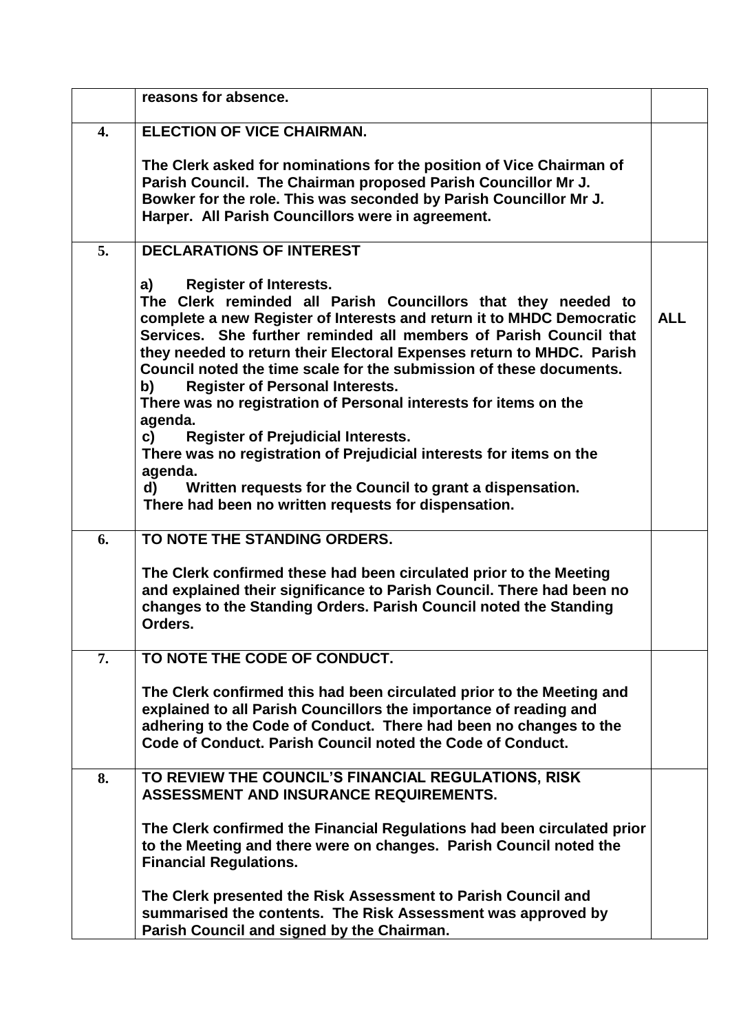|                  | reasons for absence.                                                                                                                                                                                                                                                                                                                                                                                                                                                                                                              |            |
|------------------|-----------------------------------------------------------------------------------------------------------------------------------------------------------------------------------------------------------------------------------------------------------------------------------------------------------------------------------------------------------------------------------------------------------------------------------------------------------------------------------------------------------------------------------|------------|
| $\overline{4}$ . | <b>ELECTION OF VICE CHAIRMAN.</b>                                                                                                                                                                                                                                                                                                                                                                                                                                                                                                 |            |
|                  | The Clerk asked for nominations for the position of Vice Chairman of<br>Parish Council. The Chairman proposed Parish Councillor Mr J.<br>Bowker for the role. This was seconded by Parish Councillor Mr J.<br>Harper. All Parish Councillors were in agreement.                                                                                                                                                                                                                                                                   |            |
| 5.               | <b>DECLARATIONS OF INTEREST</b>                                                                                                                                                                                                                                                                                                                                                                                                                                                                                                   |            |
|                  | <b>Register of Interests.</b><br>a)<br>The Clerk reminded all Parish Councillors that they needed to<br>complete a new Register of Interests and return it to MHDC Democratic<br>Services. She further reminded all members of Parish Council that<br>they needed to return their Electoral Expenses return to MHDC. Parish<br>Council noted the time scale for the submission of these documents.<br><b>Register of Personal Interests.</b><br>b)<br>There was no registration of Personal interests for items on the<br>agenda. | <b>ALL</b> |
|                  | c)<br><b>Register of Prejudicial Interests.</b><br>There was no registration of Prejudicial interests for items on the<br>agenda.<br>Written requests for the Council to grant a dispensation.<br>d)<br>There had been no written requests for dispensation.                                                                                                                                                                                                                                                                      |            |
| 6.               | TO NOTE THE STANDING ORDERS.                                                                                                                                                                                                                                                                                                                                                                                                                                                                                                      |            |
|                  | The Clerk confirmed these had been circulated prior to the Meeting<br>and explained their significance to Parish Council. There had been no<br>changes to the Standing Orders. Parish Council noted the Standing<br>Orders.                                                                                                                                                                                                                                                                                                       |            |
| 7.               | TO NOTE THE CODE OF CONDUCT.                                                                                                                                                                                                                                                                                                                                                                                                                                                                                                      |            |
|                  | The Clerk confirmed this had been circulated prior to the Meeting and<br>explained to all Parish Councillors the importance of reading and<br>adhering to the Code of Conduct. There had been no changes to the<br>Code of Conduct. Parish Council noted the Code of Conduct.                                                                                                                                                                                                                                                     |            |
| 8.               | TO REVIEW THE COUNCIL'S FINANCIAL REGULATIONS, RISK<br>ASSESSMENT AND INSURANCE REQUIREMENTS.                                                                                                                                                                                                                                                                                                                                                                                                                                     |            |
|                  | The Clerk confirmed the Financial Regulations had been circulated prior<br>to the Meeting and there were on changes. Parish Council noted the<br><b>Financial Regulations.</b>                                                                                                                                                                                                                                                                                                                                                    |            |
|                  | The Clerk presented the Risk Assessment to Parish Council and<br>summarised the contents. The Risk Assessment was approved by<br>Parish Council and signed by the Chairman.                                                                                                                                                                                                                                                                                                                                                       |            |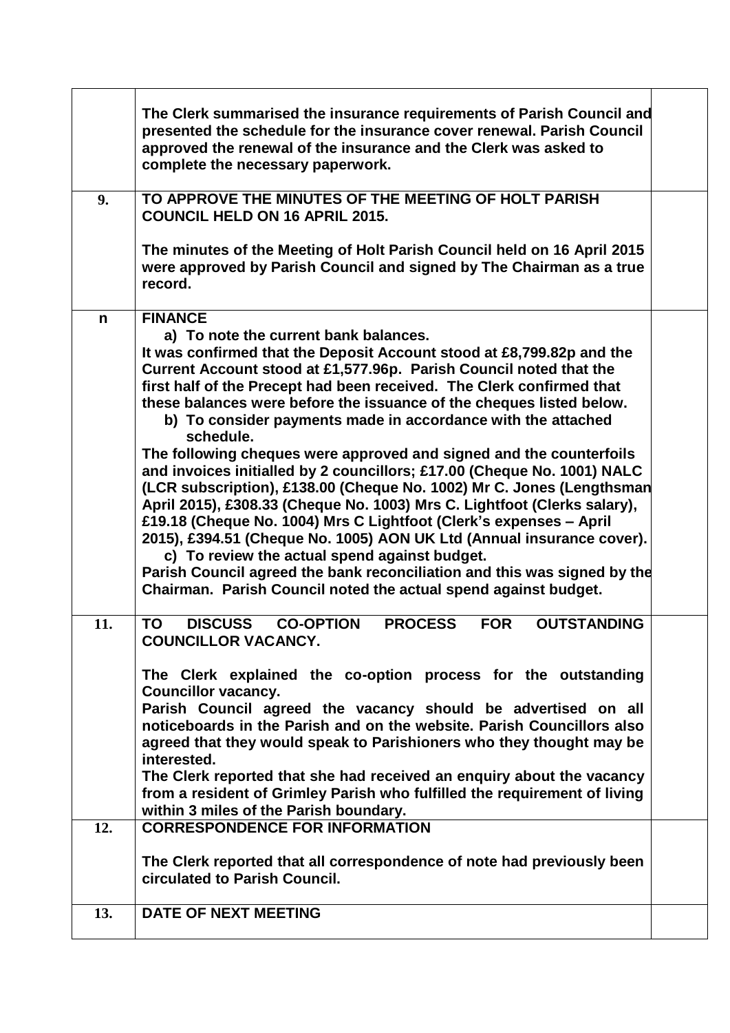|            | The Clerk summarised the insurance requirements of Parish Council and<br>presented the schedule for the insurance cover renewal. Parish Council<br>approved the renewal of the insurance and the Clerk was asked to<br>complete the necessary paperwork.                                                                                                                                                                                                                                                                                                                                                                                                                                                                                                                                                                                                                                                                                                                                                                                                                                   |  |
|------------|--------------------------------------------------------------------------------------------------------------------------------------------------------------------------------------------------------------------------------------------------------------------------------------------------------------------------------------------------------------------------------------------------------------------------------------------------------------------------------------------------------------------------------------------------------------------------------------------------------------------------------------------------------------------------------------------------------------------------------------------------------------------------------------------------------------------------------------------------------------------------------------------------------------------------------------------------------------------------------------------------------------------------------------------------------------------------------------------|--|
| 9.         | TO APPROVE THE MINUTES OF THE MEETING OF HOLT PARISH<br><b>COUNCIL HELD ON 16 APRIL 2015.</b>                                                                                                                                                                                                                                                                                                                                                                                                                                                                                                                                                                                                                                                                                                                                                                                                                                                                                                                                                                                              |  |
|            | The minutes of the Meeting of Holt Parish Council held on 16 April 2015<br>were approved by Parish Council and signed by The Chairman as a true<br>record.                                                                                                                                                                                                                                                                                                                                                                                                                                                                                                                                                                                                                                                                                                                                                                                                                                                                                                                                 |  |
| n          | <b>FINANCE</b><br>a) To note the current bank balances.<br>It was confirmed that the Deposit Account stood at £8,799.82p and the<br>Current Account stood at £1,577.96p. Parish Council noted that the<br>first half of the Precept had been received. The Clerk confirmed that<br>these balances were before the issuance of the cheques listed below.<br>b) To consider payments made in accordance with the attached<br>schedule.<br>The following cheques were approved and signed and the counterfoils<br>and invoices initialled by 2 councillors; £17.00 (Cheque No. 1001) NALC<br>(LCR subscription), £138.00 (Cheque No. 1002) Mr C. Jones (Lengthsman<br>April 2015), £308.33 (Cheque No. 1003) Mrs C. Lightfoot (Clerks salary),<br>£19.18 (Cheque No. 1004) Mrs C Lightfoot (Clerk's expenses - April<br>2015), £394.51 (Cheque No. 1005) AON UK Ltd (Annual insurance cover).<br>c) To review the actual spend against budget.<br>Parish Council agreed the bank reconciliation and this was signed by the<br>Chairman. Parish Council noted the actual spend against budget. |  |
| 11.<br>12. | <b>DISCUSS</b><br><b>PROCESS</b><br><b>CO-OPTION</b><br><b>OUTSTANDING</b><br><b>FOR</b><br>TO<br>COUNCILLOR VACANCY.<br>The Clerk explained the co-option process for the outstanding<br><b>Councillor vacancy.</b><br>Parish Council agreed the vacancy should be advertised on all<br>noticeboards in the Parish and on the website. Parish Councillors also<br>agreed that they would speak to Parishioners who they thought may be<br>interested.<br>The Clerk reported that she had received an enquiry about the vacancy<br>from a resident of Grimley Parish who fulfilled the requirement of living<br>within 3 miles of the Parish boundary.<br><b>CORRESPONDENCE FOR INFORMATION</b>                                                                                                                                                                                                                                                                                                                                                                                            |  |
|            | The Clerk reported that all correspondence of note had previously been<br>circulated to Parish Council.                                                                                                                                                                                                                                                                                                                                                                                                                                                                                                                                                                                                                                                                                                                                                                                                                                                                                                                                                                                    |  |
| 13.        | <b>DATE OF NEXT MEETING</b>                                                                                                                                                                                                                                                                                                                                                                                                                                                                                                                                                                                                                                                                                                                                                                                                                                                                                                                                                                                                                                                                |  |